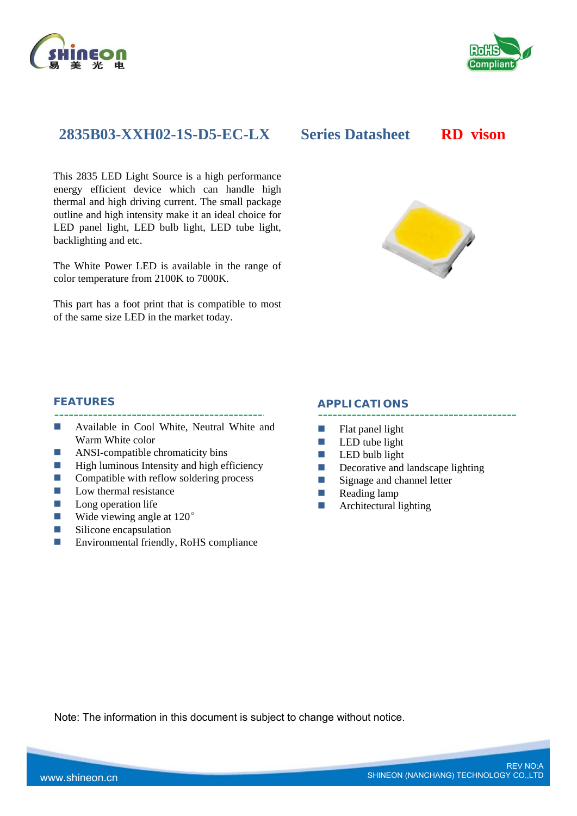



# **2835B03-XXH02-1S-D5-EC-LX Series Datasheet RD vison**

This 2835 LED Light Source is a high performance energy efficient device which can handle high thermal and high driving current. The small package outline and high intensity make it an ideal choice for LED panel light, LED bulb light, LED tube light, backlighting and etc.

The White Power LED is available in the range of color temperature from 2100K to 7000K.

This part has a foot print that is compatible to most of the same size LED in the market today.



### **FEATURES**

- **Available in Cool White, Neutral White and** Warm White color
- **ANSI-compatible chromaticity bins**
- $\blacksquare$  High luminous Intensity and high efficiency
- $\Box$  Compatible with reflow soldering process
- $\blacksquare$  Low thermal resistance
- **Long operation life**
- Wide viewing angle at 120<sup>°</sup>
- Silicone encapsulation
- Environmental friendly, RoHS compliance

#### **APPLICATIONS**

- $\blacksquare$  Flat panel light
- $\Box$  LED tube light
- $\Box$  LED bulb light
- Decorative and landscape lighting
- Signage and channel letter
- **Reading lamp**
- **Architectural lighting**

Note: The information in this document is subject to change without notice.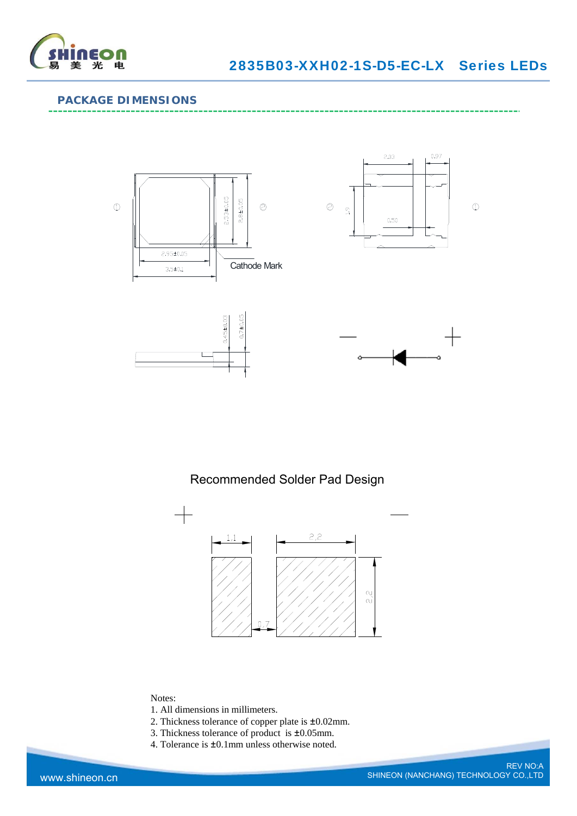

## **PACKAGE DIMENSIONS**



# Recommended Solder Pad Design



### Notes:

- 1. All dimensions in millimeters.
- 2. Thickness tolerance of copper plate is ±0.02mm.
- 3. Thickness tolerance of product is ±0.05mm.
- 4. Tolerance is ±0.1mm unless otherwise noted.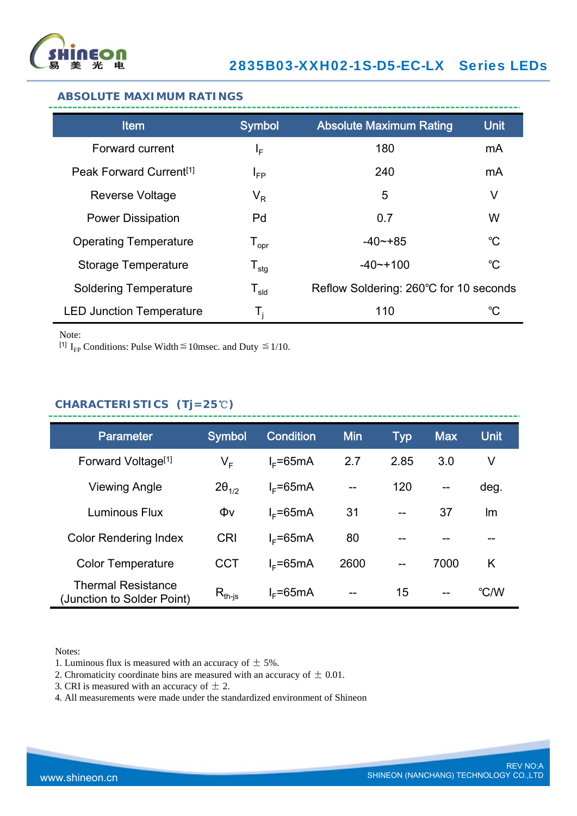

### **ABSOLUTE MAXIMUM RATINGS**

| <b>Item</b>                         | <b>Symbol</b>                | <b>Absolute Maximum Rating</b>         | <b>Unit</b> |
|-------------------------------------|------------------------------|----------------------------------------|-------------|
| Forward current                     | ΙF                           | 180                                    | mA          |
| Peak Forward Current <sup>[1]</sup> | $I_{FP}$                     | 240                                    | mA          |
| Reverse Voltage                     | $V_R$                        | 5                                      | V           |
| <b>Power Dissipation</b>            | Pd                           | 0.7                                    | W           |
| <b>Operating Temperature</b>        | ${\mathsf T}_{\textsf{opr}}$ | $-40 - +85$                            | $^{\circ}C$ |
| <b>Storage Temperature</b>          | ${\mathsf T}_{\textsf{stg}}$ | $-40$ $-100$                           | $^{\circ}C$ |
| <b>Soldering Temperature</b>        | ${\mathsf T}_{\textsf{sld}}$ | Reflow Soldering: 260°C for 10 seconds |             |
| <b>LED Junction Temperature</b>     | Т,                           | 110                                    | $^{\circ}C$ |

Note:

[<sup>1]</sup> I<sub>FP</sub> Conditions: Pulse Width  $\leq$  10msec. and Duty  $\leq$  1/10.

## **CHARACTERISTICS (Tj=25**℃**)**

| <b>Parameter</b>                                        | <b>Symbol</b>   | <b>Condition</b> | <b>Min</b> | <b>Typ</b> | <b>Max</b>               | <b>Unit</b> |
|---------------------------------------------------------|-----------------|------------------|------------|------------|--------------------------|-------------|
| Forward Voltage <sup>[1]</sup>                          | V <sub>F</sub>  | $IE=65mA$        | 2.7        | 2.85       | 3.0                      | V           |
| <b>Viewing Angle</b>                                    | $2\theta_{1/2}$ | $I_F = 65mA$     | $-$        | 120        | $\overline{\phantom{a}}$ | deg.        |
| Luminous Flux                                           | Φv              | $I_F = 65mA$     | 31         | $-$        | 37                       | Im          |
| <b>Color Rendering Index</b>                            | <b>CRI</b>      | $I_F = 65mA$     | 80         |            |                          | --          |
| <b>Color Temperature</b>                                | <b>CCT</b>      | $I_F = 65mA$     | 2600       | $-$        | 7000                     | K           |
| <b>Thermal Resistance</b><br>(Junction to Solder Point) | $R_{th-is}$     | $I_F = 65mA$     | $- -$      | 15         | $- -$                    | °C/W        |

Notes:

1. Luminous flux is measured with an accuracy of  $\pm$  5%.

2. Chromaticity coordinate bins are measured with an accuracy of  $\pm$  0.01.

3. CRI is measured with an accuracy of  $\pm$  2.

4. All measurements were made under the standardized environment of Shineon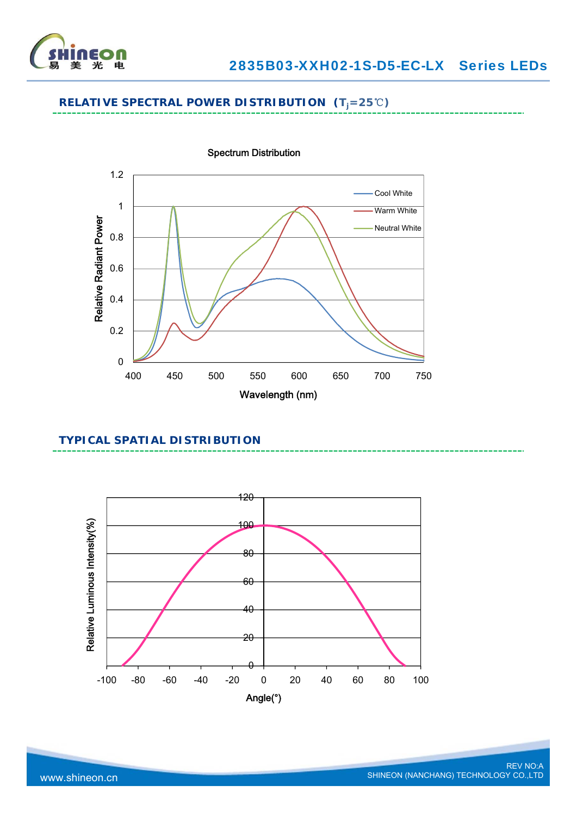

# **RELATIVE SPECTRAL POWER DISTRIBUTION (Tj=25**℃**)**



### **TYPICAL SPATIAL DISTRIBUTION**

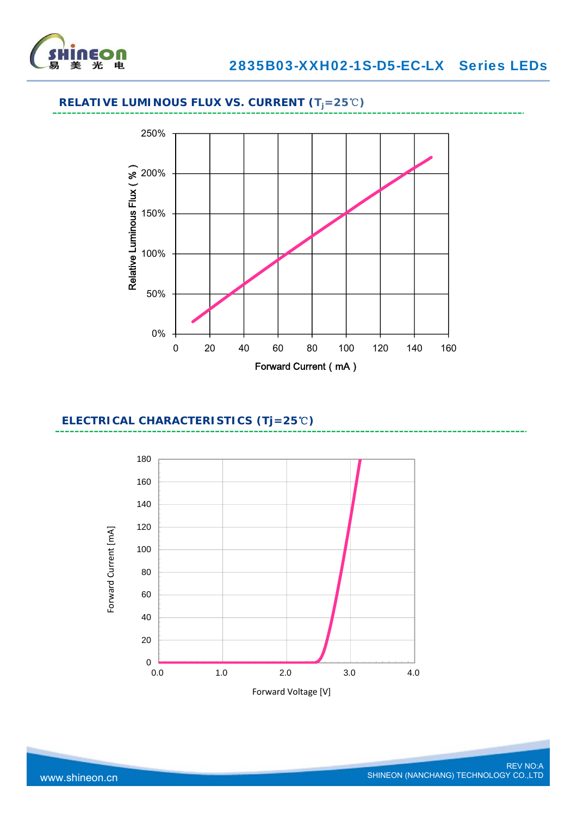

# **RELATIVE LUMINOUS FLUX VS. CURRENT (Tj=25**℃**)**



### **ELECTRICAL CHARACTERISTICS (Tj=25**℃**)**

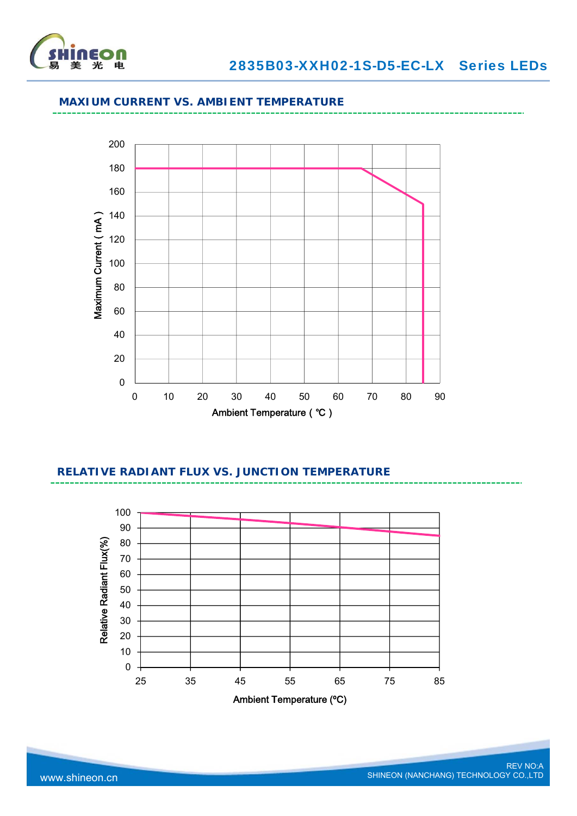

## **MAXIUM CURRENT VS. AMBIENT TEMPERATURE**



# **RELATIVE RADIANT FLUX VS. JUNCTION TEMPERATURE**

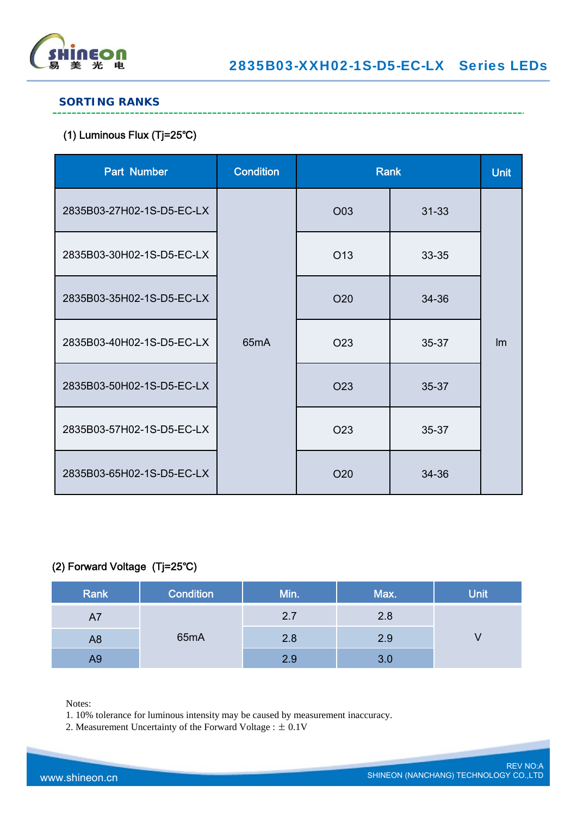

------------------------------

## **SORTING RANKS**

# (1) Luminous Flux (Tj=25℃)

| <b>Part Number</b>        | <b>Condition</b>  | <b>Rank</b>     |           | <b>Unit</b> |
|---------------------------|-------------------|-----------------|-----------|-------------|
| 2835B03-27H02-1S-D5-EC-LX |                   | O03             | $31 - 33$ |             |
| 2835B03-30H02-1S-D5-EC-LX |                   | O <sub>13</sub> | 33-35     |             |
| 2835B03-35H02-1S-D5-EC-LX |                   | O20             | 34-36     |             |
| 2835B03-40H02-1S-D5-EC-LX | 65 <sub>m</sub> A | O <sub>23</sub> | $35 - 37$ | Im          |
| 2835B03-50H02-1S-D5-EC-LX |                   | O <sub>23</sub> | 35-37     |             |
| 2835B03-57H02-1S-D5-EC-LX |                   | O <sub>23</sub> | 35-37     |             |
| 2835B03-65H02-1S-D5-EC-LX |                   | O20             | 34-36     |             |

## (2) Forward Voltage (Tj=25℃)

| Rank           | <b>Condition</b> | Min. | Max. | <b>Unit</b> |
|----------------|------------------|------|------|-------------|
| A7             |                  | 2.7  | 2.8  |             |
| A <sub>8</sub> | 65mA             | 2.8  | 2.9  |             |
| A9             |                  | 2.9  | 3.0  |             |

Notes:

1. 10% tolerance for luminous intensity may be caused by measurement inaccuracy.

2. Measurement Uncertainty of the Forward Voltage : ± 0.1V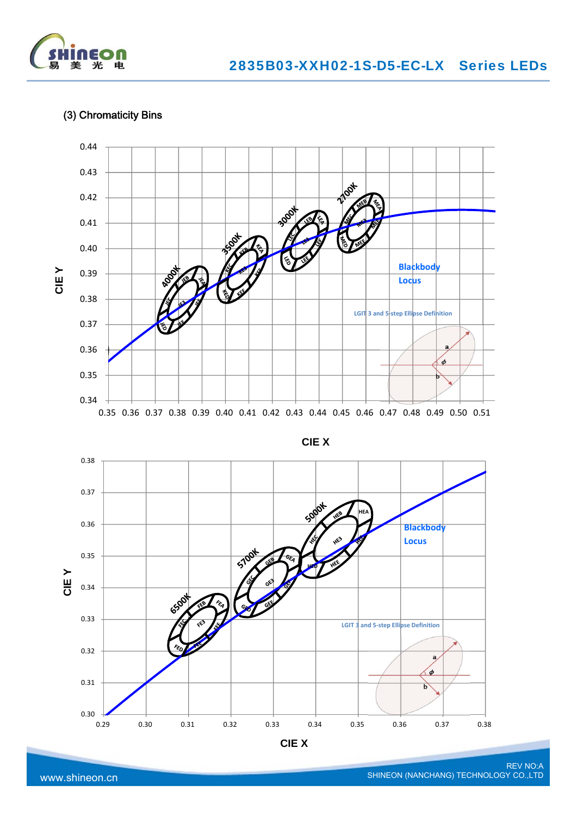

## (3) Chromaticity Bins



www.shineon.cn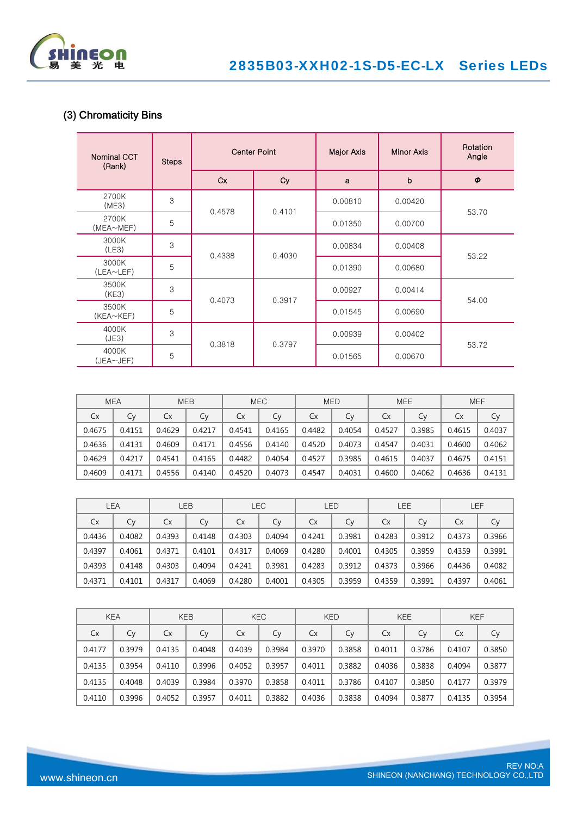

# (3) Chromaticity Bins

| <b>Nominal CCT</b><br>(Rank) | <b>Steps</b> |           | <b>Center Point</b> | Major Axis | Minor Axis  | Rotation<br>Angle   |
|------------------------------|--------------|-----------|---------------------|------------|-------------|---------------------|
|                              |              | <b>Cx</b> | Cy                  | a          | $\mathbf b$ | $\boldsymbol{\phi}$ |
| 2700K<br>(ME3)               | 3            | 0.4578    | 0.4101              | 0.00810    | 0.00420     |                     |
| 2700K<br>(MEA~MEF)           | 5            |           |                     | 0.01350    | 0.00700     | 53.70               |
| 3000K<br>(LE3)               | 3            | 0.4338    | 0.4030              | 0.00834    | 0.00408     | 53.22               |
| 3000K<br>(LEA~LEF)           | 5            |           |                     | 0.01390    | 0.00680     |                     |
| 3500K<br>(KE3)               | 3            | 0.4073    | 0.3917              | 0.00927    | 0.00414     | 54.00               |
| 3500K<br>$(KEA \sim KEF)$    | 5            |           |                     | 0.01545    | 0.00690     |                     |
| 4000K<br>(JE3)               | 3            | 0.3818    | 0.3797              | 0.00939    | 0.00402     | 53.72               |
| 4000K<br>(JEA~JEF)           | 5            |           |                     | 0.01565    | 0.00670     |                     |

|        | <b>MEA</b> |        | <b>MEB</b> |        | <b>MEE</b><br><b>MEC</b><br><b>MED</b><br><b>MEF</b> |           |        |        |        |        |        |
|--------|------------|--------|------------|--------|------------------------------------------------------|-----------|--------|--------|--------|--------|--------|
| Cx     | Cy         | Cx     | Cy         | Сx     | Сy                                                   | <b>Cx</b> | Cv     | Сx     | Cv     | Сx     | Сy     |
| 0.4675 | 0.4151     | 0.4629 | 0.4217     | 0.4541 | 0.4165                                               | 0.4482    | 0.4054 | 0.4527 | 0.3985 | 0.4615 | 0.4037 |
| 0.4636 | 0.4131     | 0.4609 | 0.4171     | 0.4556 | 0.4140                                               | 0.4520    | 0.4073 | 0.4547 | 0.4031 | 0.4600 | 0.4062 |
| 0.4629 | 0.4217     | 0.4541 | 0.4165     | 0.4482 | 0.4054                                               | 0.4527    | 0.3985 | 0.4615 | 0.4037 | 0.4675 | 0.4151 |
| 0.4609 | 0.4171     | 0.4556 | 0.4140     | 0.4520 | 0.4073                                               | 0.4547    | 0.4031 | 0.4600 | 0.4062 | 0.4636 | 0.4131 |

|           | LEA    |        | LEB    |        | <b>LEC</b><br>LEE<br>LEF<br><b>LED</b> |           |        |        |        |        |        |
|-----------|--------|--------|--------|--------|----------------------------------------|-----------|--------|--------|--------|--------|--------|
| <b>Cx</b> | Cy     | Cx     | Сy     | Cx     | Cy                                     | <b>Cx</b> | Cy     | Cx     | Cy     | Cx     | Сy     |
| 0.4436    | 0.4082 | 0.4393 | 0.4148 | 0.4303 | 0.4094                                 | 0.4241    | 0.3981 | 0.4283 | 0.3912 | 0.4373 | 0.3966 |
| 0.4397    | 0.4061 | 0.4371 | 0.4101 | 0.4317 | 0.4069                                 | 0.4280    | 0.4001 | 0.4305 | 0.3959 | 0.4359 | 0.3991 |
| 0.4393    | 0.4148 | 0.4303 | 0.4094 | 0.4241 | 0.3981                                 | 0.4283    | 0.3912 | 0.4373 | 0.3966 | 0.4436 | 0.4082 |
| 0.4371    | 0.4101 | 0.4317 | 0.4069 | 0.4280 | 0.4001                                 | 0.4305    | 0.3959 | 0.4359 | 0.3991 | 0.4397 | 0.4061 |

|           | <b>KEA</b> |        | <b>KEB</b> |        | <b>KEC</b> |           | <b>KED</b> |        | <b>KEE</b> | <b>KEF</b> |        |
|-----------|------------|--------|------------|--------|------------|-----------|------------|--------|------------|------------|--------|
| <b>Cx</b> | Сy         | Cx     | Сy         | Cx     | Сy         | <b>Cx</b> | Cy         | Cx     | Cy         | Cx         | Cy     |
| 0.4177    | 0.3979     | 0.4135 | 0.4048     | 0.4039 | 0.3984     | 0.3970    | 0.3858     | 0.4011 | 0.3786     | 0.4107     | 0.3850 |
| 0.4135    | 0.3954     | 0.4110 | 0.3996     | 0.4052 | 0.3957     | 0.4011    | 0.3882     | 0.4036 | 0.3838     | 0.4094     | 0.3877 |
| 0.4135    | 0.4048     | 0.4039 | 0.3984     | 0.3970 | 0.3858     | 0.4011    | 0.3786     | 0.4107 | 0.3850     | 0.4177     | 0.3979 |
| 0.4110    | 0.3996     | 0.4052 | 0.3957     | 0.4011 | 0.3882     | 0.4036    | 0.3838     | 0.4094 | 0.3877     | 0.4135     | 0.3954 |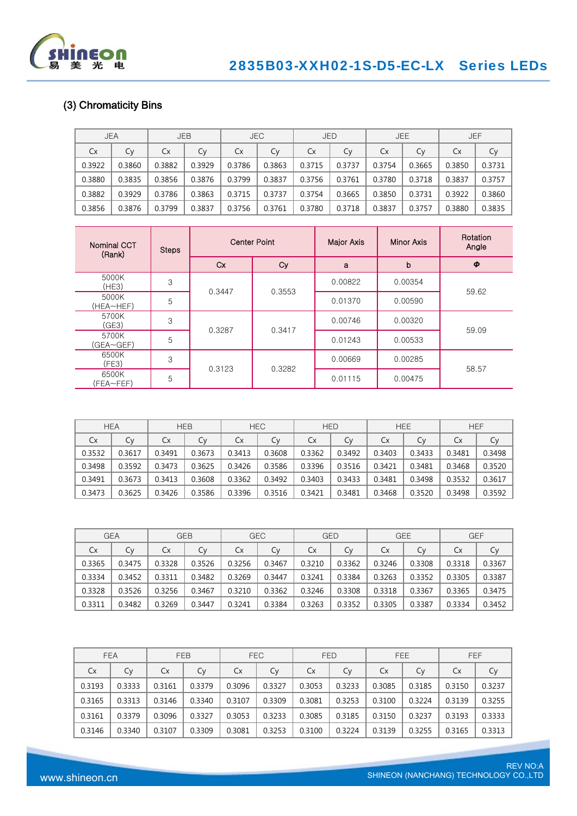

# (3) Chromaticity Bins

|        | <b>JEA</b> |        | <b>JEB</b> |        | <b>JEC</b> | <b>JED</b> |        | <b>JEE</b><br><b>JEF</b> |        |        |        |
|--------|------------|--------|------------|--------|------------|------------|--------|--------------------------|--------|--------|--------|
| Cx     | Сy         | Cx     | Сy         | Сx     | Сy         | Cx         | Сy     | Сx                       | Cy     | Cx     | Сy     |
| 0.3922 | 0.3860     | 0.3882 | 0.3929     | 0.3786 | 0.3863     | 0.3715     | 0.3737 | 0.3754                   | 0.3665 | 0.3850 | 0.3731 |
| 0.3880 | 0.3835     | 0.3856 | 0.3876     | 0.3799 | 0.3837     | 0.3756     | 0.3761 | 0.3780                   | 0.3718 | 0.3837 | 0.3757 |
| 0.3882 | 0.3929     | 0.3786 | 0.3863     | 0.3715 | 0.3737     | 0.3754     | 0.3665 | 0.3850                   | 0.3731 | 0.3922 | 0.3860 |
| 0.3856 | 0.3876     | 0.3799 | 0.3837     | 0.3756 | 0.3761     | 0.3780     | 0.3718 | 0.3837                   | 0.3757 | 0.3880 | 0.3835 |

| Nominal CCT<br>(Rank) | <b>Steps</b> |        | <b>Center Point</b> | Major Axis | <b>Minor Axis</b> | Rotation<br>Angle |
|-----------------------|--------------|--------|---------------------|------------|-------------------|-------------------|
|                       |              | Cx     | Cy                  | a          | b                 | Φ                 |
| 5000K<br>(HE3)        | 3            | 0.3447 | 0.3553              | 0.00822    | 0.00354           | 59.62             |
| 5000K<br>(HEA~HEF)    | 5            |        |                     | 0.01370    | 0.00590           |                   |
| 5700K<br>(GE3)        | 3            | 0.3287 | 0.3417              | 0.00746    | 0.00320           |                   |
| 5700K<br>(GEA~GEF)    | 5            |        |                     | 0.01243    | 0.00533           | 59.09             |
| 6500K<br>(FE3)        | 3            |        |                     | 0.00669    | 0.00285           |                   |
| 6500K<br>(FEA~FEF)    | 5            | 0.3123 | 0.3282              | 0.01115    | 0.00475           | 58.57             |

|        | <b>HEA</b> |        | <b>HEB</b> | <b>HEC</b> |        | <b>HEE</b><br><b>HEF</b><br><b>HED</b> |        |        |        |        |        |
|--------|------------|--------|------------|------------|--------|----------------------------------------|--------|--------|--------|--------|--------|
| Cx     | Сy         | Сx     | Cy         | Сx         | Cy     | Сx                                     | Cy     | Сx     | Cy     | Cx     | Cy     |
| 0.3532 | 0.3617     | 0.3491 | 0.3673     | 0.3413     | 0.3608 | 0.3362                                 | 0.3492 | 0.3403 | 0.3433 | 0.3481 | 0.3498 |
| 0.3498 | 0.3592     | 0.3473 | 0.3625     | 0.3426     | 0.3586 | 0.3396                                 | 0.3516 | 0.3421 | 0.3481 | 0.3468 | 0.3520 |
| 0.3491 | 0.3673     | 0.3413 | 0.3608     | 0.3362     | 0.3492 | 0.3403                                 | 0.3433 | 0.3481 | 0.3498 | 0.3532 | 0.3617 |
| 0.3473 | 0.3625     | 0.3426 | 0.3586     | 0.3396     | 0.3516 | 0.3421                                 | 0.3481 | 0.3468 | 0.3520 | 0.3498 | 0.3592 |

|           | <b>GEA</b> | <b>GEB</b> |        |        | <b>GEE</b><br><b>GEC</b><br><b>GED</b><br><b>GEF</b> |        |        |        |        |        |        |
|-----------|------------|------------|--------|--------|------------------------------------------------------|--------|--------|--------|--------|--------|--------|
| <b>Cx</b> | Cy         | Cx         | Cy     | Сx     | Сy                                                   | Сx     | Cν     | Сx     | C٧     | Сx     | Сy     |
| 0.3365    | 0.3475     | 0.3328     | 0.3526 | 0.3256 | 0.3467                                               | 0.3210 | 0.3362 | 0.3246 | 0.3308 | 0.3318 | 0.3367 |
| 0.3334    | 0.3452     | 0.3311     | 0.3482 | 0.3269 | 0.3447                                               | 0.3241 | 0.3384 | 0.3263 | 0.3352 | 0.3305 | 0.3387 |
| 0.3328    | 0.3526     | 0.3256     | 0.3467 | 0.3210 | 0.3362                                               | 0.3246 | 0.3308 | 0.3318 | 0.3367 | 0.3365 | 0.3475 |
| 0.3311    | 0.3482     | 0.3269     | 0.3447 | 0.3241 | 0.3384                                               | 0.3263 | 0.3352 | 0.3305 | 0.3387 | 0.3334 | 0.3452 |

|           | <b>FEA</b> |        | <b>FEB</b> |        | <b>FEC</b> |        | <b>FED</b> |        | <b>FEE</b> |        | FEF    |
|-----------|------------|--------|------------|--------|------------|--------|------------|--------|------------|--------|--------|
| <b>Cx</b> | Сy         | Cx     | Cy         | Cx     | Cy         | Cx     | Cy         | Cx     | Cy         | Сx     | Сy     |
| 0.3193    | 0.3333     | 0.3161 | 0.3379     | 0.3096 | 0.3327     | 0.3053 | 0.3233     | 0.3085 | 0.3185     | 0.3150 | 0.3237 |
| 0.3165    | 0.3313     | 0.3146 | 0.3340     | 0.3107 | 0.3309     | 0.3081 | 0.3253     | 0.3100 | 0.3224     | 0.3139 | 0.3255 |
| 0.3161    | 0.3379     | 0.3096 | 0.3327     | 0.3053 | 0.3233     | 0.3085 | 0.3185     | 0.3150 | 0.3237     | 0.3193 | 0.3333 |
| 0.3146    | 0.3340     | 0.3107 | 0.3309     | 0.3081 | 0.3253     | 0.3100 | 0.3224     | 0.3139 | 0.3255     | 0.3165 | 0.3313 |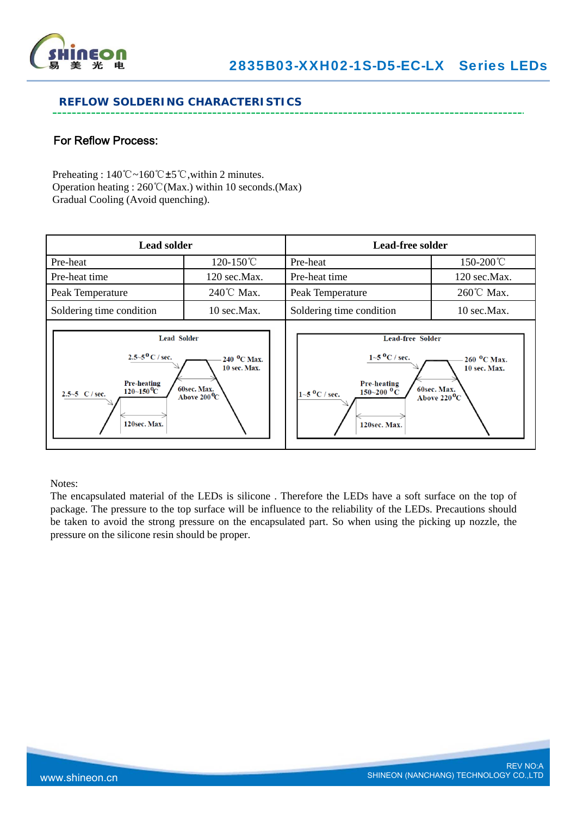

### **REFLOW SOLDERING CHARACTERISTICS**

## For Reflow Process:

Preheating : 140℃~160℃±5℃,within 2 minutes. Operation heating : 260℃(Max.) within 10 seconds.(Max) Gradual Cooling (Avoid quenching).

| <b>Lead solder</b>                                                                                                                                |                                                                               | Lead-free solder                                                                                                                                                                                                                                   |                      |  |  |
|---------------------------------------------------------------------------------------------------------------------------------------------------|-------------------------------------------------------------------------------|----------------------------------------------------------------------------------------------------------------------------------------------------------------------------------------------------------------------------------------------------|----------------------|--|--|
| Pre-heat                                                                                                                                          | 120-150℃                                                                      | Pre-heat                                                                                                                                                                                                                                           | 150-200℃             |  |  |
| Pre-heat time                                                                                                                                     | $120 \text{ sec}.$ Max.                                                       | Pre-heat time                                                                                                                                                                                                                                      | $120$ sec. Max.      |  |  |
| Peak Temperature                                                                                                                                  | $240^{\circ}$ C Max.                                                          | Peak Temperature                                                                                                                                                                                                                                   | $260^{\circ}$ C Max. |  |  |
| Soldering time condition                                                                                                                          | 10 sec.Max.                                                                   | Soldering time condition                                                                                                                                                                                                                           | 10 sec.Max.          |  |  |
| <b>Lead Solder</b><br>$2.5 - 5^{0}$ C / sec.<br><b>Pre-heating</b><br>$120\text{--}150\text{\,}^0\mathrm{C}$<br>2.5~5 $C / sec$ .<br>120sec. Max. | $240~^{\circ}$ C Max.<br>10 sec. Max.<br>60sec. Max.<br>Above $200^{\rm o}$ C | <b>Lead-free Solder</b><br>$1 - 5$ °C / sec.<br>$260~^{\circ}$ C Max.<br>10 sec. Max.<br><b>Pre-heating</b><br>60sec. Max.<br>$150\text{--}200~^{\text{o}}\text{C}$<br>$1 - 5$ $^0C$ / sec.<br>Above 220 $^{\mathrm{0}}\mathrm{C}$<br>120sec. Max. |                      |  |  |

Notes:

The encapsulated material of the LEDs is silicone . Therefore the LEDs have a soft surface on the top of package. The pressure to the top surface will be influence to the reliability of the LEDs. Precautions should be taken to avoid the strong pressure on the encapsulated part. So when using the picking up nozzle, the pressure on the silicone resin should be proper.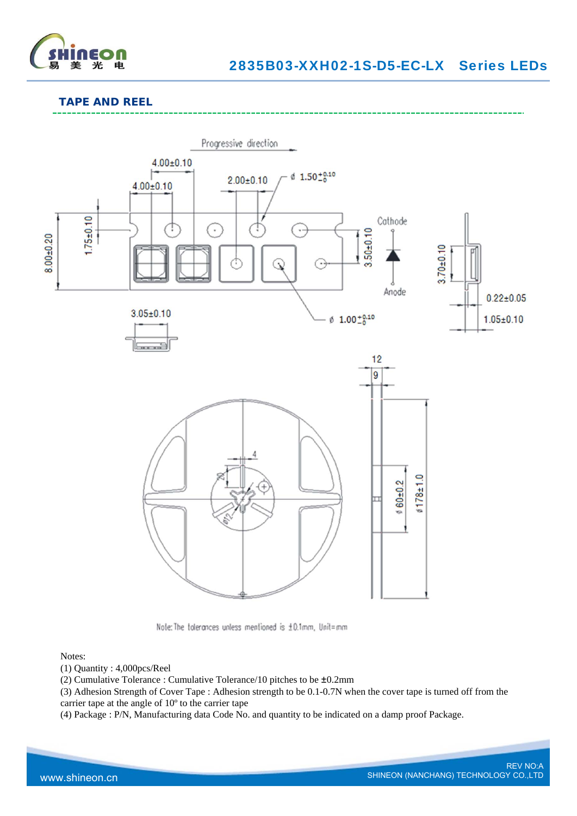

### **TAPE AND REEL**



Note: The tolerances unless mentioned is ±0.1mm, Unit=mm

#### Notes:

(1) Quantity : 4,000pcs/Reel

(2) Cumulative Tolerance : Cumulative Tolerance/10 pitches to be ±0.2mm

(3) Adhesion Strength of Cover Tape : Adhesion strength to be 0.1-0.7N when the cover tape is turned off from the carrier tape at the angle of 10º to the carrier tape

(4) Package : P/N, Manufacturing data Code No. and quantity to be indicated on a damp proof Package.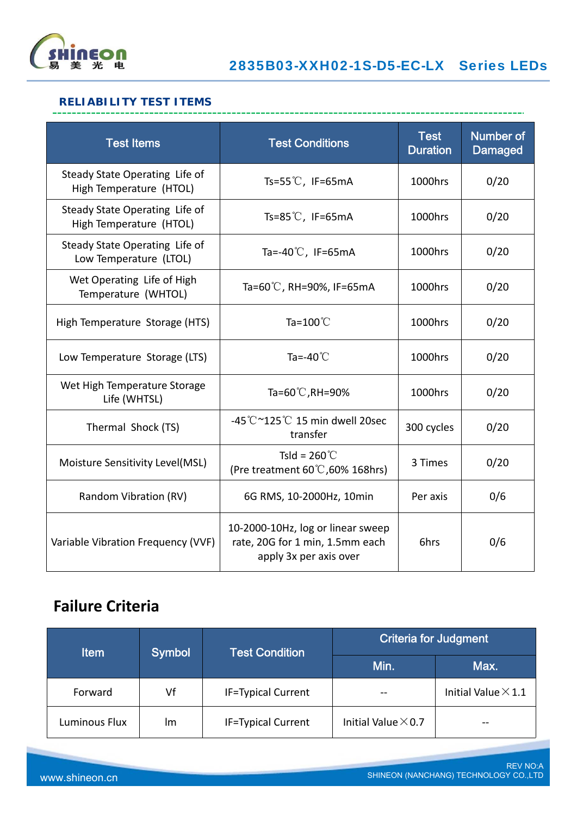

## **RELIABILITY TEST ITEMS**

| <b>Test Items</b>                                         | <b>Test Conditions</b>                                                                         | <b>Test</b><br><b>Duration</b> | Number of<br><b>Damaged</b> |
|-----------------------------------------------------------|------------------------------------------------------------------------------------------------|--------------------------------|-----------------------------|
| Steady State Operating Life of<br>High Temperature (HTOL) | Ts=55 $\degree$ C, IF=65mA                                                                     | 1000hrs                        | 0/20                        |
| Steady State Operating Life of<br>High Temperature (HTOL) | Ts=85 $\degree$ C, IF=65mA                                                                     | 1000hrs                        | 0/20                        |
| Steady State Operating Life of<br>Low Temperature (LTOL)  | Ta=-40 $\degree$ C, IF=65mA                                                                    | 1000hrs                        | 0/20                        |
| Wet Operating Life of High<br>Temperature (WHTOL)         | Ta=60°C, RH=90%, IF=65mA                                                                       | 1000hrs                        | 0/20                        |
| High Temperature Storage (HTS)                            | Ta= $100^{\circ}$ C                                                                            | 1000hrs                        | 0/20                        |
| Low Temperature Storage (LTS)                             | Ta=-40 $^{\circ}$ C                                                                            | 1000hrs                        | 0/20                        |
| Wet High Temperature Storage<br>Life (WHTSL)              | Ta=60 $^{\circ}$ C, RH=90%                                                                     | 1000hrs                        | 0/20                        |
| Thermal Shock (TS)                                        | -45 $\degree$ C ~125 $\degree$ C 15 min dwell 20sec<br>transfer                                | 300 cycles                     | 0/20                        |
| Moisture Sensitivity Level(MSL)                           | Tsld = $260^{\circ}$ C<br>(Pre treatment 60°C, 60% 168hrs)                                     | 3 Times                        | 0/20                        |
| Random Vibration (RV)                                     | 6G RMS, 10-2000Hz, 10min                                                                       | Per axis                       | 0/6                         |
| Variable Vibration Frequency (VVF)                        | 10-2000-10Hz, log or linear sweep<br>rate, 20G for 1 min, 1.5mm each<br>apply 3x per axis over | 6hrs                           | 0/6                         |

# **Failure Criteria**

| <b>Item</b>   | Symbol | <b>Test Condition</b>     | <b>Criteria for Judgment</b> |                            |  |  |
|---------------|--------|---------------------------|------------------------------|----------------------------|--|--|
|               |        |                           | Min.                         | Max.                       |  |  |
| Forward       | Vf     | <b>IF=Typical Current</b> |                              | Initial Value $\times$ 1.1 |  |  |
| Luminous Flux | Im     | <b>IF=Typical Current</b> | Initial Value $\times$ 0.7   |                            |  |  |